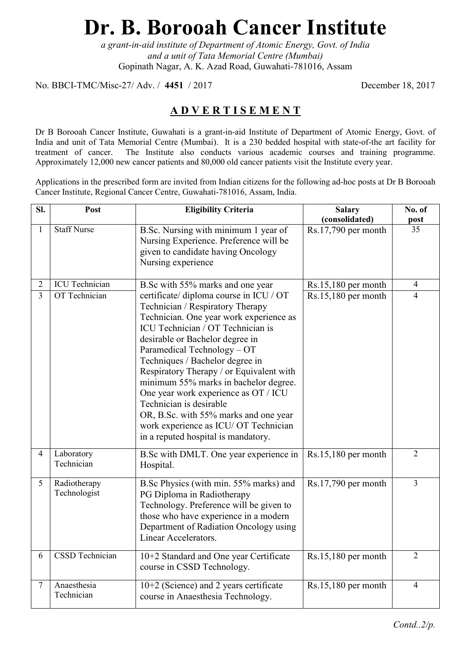# **Dr. B. Borooah Cancer Institute**

*a grant-in-aid institute of Department of Atomic Energy, Govt. of India and a unit of Tata Memorial Centre (Mumbai)*  Gopinath Nagar, A. K. Azad Road, Guwahati-781016, Assam

No. BBCI-TMC/Misc-27/ Adv. / **4451** / 2017 December 18, 2017

## **A D V E R T I S E M E N T**

Dr B Borooah Cancer Institute, Guwahati is a grant-in-aid Institute of Department of Atomic Energy, Govt. of India and unit of Tata Memorial Centre (Mumbai). It is a 230 bedded hospital with state-of-the art facility for treatment of cancer. The Institute also conducts various academic courses and training programme. Approximately 12,000 new cancer patients and 80,000 old cancer patients visit the Institute every year.

Applications in the prescribed form are invited from Indian citizens for the following ad-hoc posts at Dr B Borooah Cancer Institute, Regional Cancer Centre, Guwahati-781016, Assam, India.

| Sl.            | Post                         | <b>Eligibility Criteria</b>                                                                                                                                                                                                                                                                                                                                                                                                                                                                                                                       | <b>Salary</b><br>(consolidated) | No. of<br>post  |
|----------------|------------------------------|---------------------------------------------------------------------------------------------------------------------------------------------------------------------------------------------------------------------------------------------------------------------------------------------------------------------------------------------------------------------------------------------------------------------------------------------------------------------------------------------------------------------------------------------------|---------------------------------|-----------------|
| $\mathbf{1}$   | <b>Staff Nurse</b>           | B.Sc. Nursing with minimum 1 year of<br>Nursing Experience. Preference will be<br>given to candidate having Oncology<br>Nursing experience                                                                                                                                                                                                                                                                                                                                                                                                        | $Rs.17,790$ per month           | $\overline{35}$ |
| $\overline{2}$ | <b>ICU</b> Technician        | B.Sc with 55% marks and one year                                                                                                                                                                                                                                                                                                                                                                                                                                                                                                                  | $Rs.15,180$ per month           | $\overline{4}$  |
| $\overline{3}$ | OT Technician                | certificate/ diploma course in ICU / OT<br>Technician / Respiratory Therapy<br>Technician. One year work experience as<br>ICU Technician / OT Technician is<br>desirable or Bachelor degree in<br>Paramedical Technology - OT<br>Techniques / Bachelor degree in<br>Respiratory Therapy / or Equivalent with<br>minimum 55% marks in bachelor degree.<br>One year work experience as OT / ICU<br>Technician is desirable<br>OR, B.Sc. with 55% marks and one year<br>work experience as ICU/ OT Technician<br>in a reputed hospital is mandatory. | $Rs.15,180$ per month           | $\overline{4}$  |
| $\overline{4}$ | Laboratory<br>Technician     | B. Sc with DMLT. One year experience in<br>Hospital.                                                                                                                                                                                                                                                                                                                                                                                                                                                                                              | $Rs.15,180$ per month           | $\overline{2}$  |
| 5              | Radiotherapy<br>Technologist | B.Sc Physics (with min. 55% marks) and<br>PG Diploma in Radiotherapy<br>Technology. Preference will be given to<br>those who have experience in a modern<br>Department of Radiation Oncology using<br>Linear Accelerators.                                                                                                                                                                                                                                                                                                                        | $Rs.17,790$ per month           | $\overline{3}$  |
| 6              | <b>CSSD</b> Technician       | 10+2 Standard and One year Certificate<br>course in CSSD Technology.                                                                                                                                                                                                                                                                                                                                                                                                                                                                              | $Rs.15,180$ per month           | $\overline{2}$  |
| $\tau$         | Anaesthesia<br>Technician    | 10+2 (Science) and 2 years certificate<br>course in Anaesthesia Technology.                                                                                                                                                                                                                                                                                                                                                                                                                                                                       | $Rs.15,180$ per month           | $\overline{4}$  |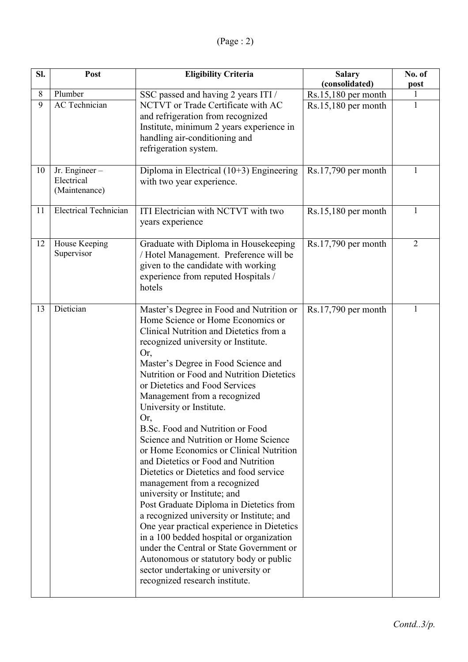| SI. | Post                                         | <b>Eligibility Criteria</b>                                                                                                                                                                                                                                                                                                                                                                                                                                                                                                                                                                                                                                                                                                                                                                                                                                                                                                                                                                | <b>Salary</b><br>(consolidated) | No. of<br>post |
|-----|----------------------------------------------|--------------------------------------------------------------------------------------------------------------------------------------------------------------------------------------------------------------------------------------------------------------------------------------------------------------------------------------------------------------------------------------------------------------------------------------------------------------------------------------------------------------------------------------------------------------------------------------------------------------------------------------------------------------------------------------------------------------------------------------------------------------------------------------------------------------------------------------------------------------------------------------------------------------------------------------------------------------------------------------------|---------------------------------|----------------|
| 8   | Plumber                                      | SSC passed and having 2 years ITI /                                                                                                                                                                                                                                                                                                                                                                                                                                                                                                                                                                                                                                                                                                                                                                                                                                                                                                                                                        | $Rs.15,180$ per month           |                |
| 9   | AC Technician                                | NCTVT or Trade Certificate with AC<br>and refrigeration from recognized<br>Institute, minimum 2 years experience in<br>handling air-conditioning and<br>refrigeration system.                                                                                                                                                                                                                                                                                                                                                                                                                                                                                                                                                                                                                                                                                                                                                                                                              | $Rs.15,180$ per month           | 1              |
| 10  | Jr. Engineer-<br>Electrical<br>(Maintenance) | Diploma in Electrical $(10+3)$ Engineering<br>with two year experience.                                                                                                                                                                                                                                                                                                                                                                                                                                                                                                                                                                                                                                                                                                                                                                                                                                                                                                                    | Rs.17,790 per month             | 1              |
| 11  | <b>Electrical Technician</b>                 | ITI Electrician with NCTVT with two<br>years experience                                                                                                                                                                                                                                                                                                                                                                                                                                                                                                                                                                                                                                                                                                                                                                                                                                                                                                                                    | $Rs.15,180$ per month           | 1              |
| 12  | House Keeping<br>Supervisor                  | Graduate with Diploma in Housekeeping<br>/ Hotel Management. Preference will be<br>given to the candidate with working<br>experience from reputed Hospitals /<br>hotels                                                                                                                                                                                                                                                                                                                                                                                                                                                                                                                                                                                                                                                                                                                                                                                                                    | $Rs.17,790$ per month           | $\overline{2}$ |
| 13  | Dietician                                    | Master's Degree in Food and Nutrition or<br>Home Science or Home Economics or<br>Clinical Nutrition and Dietetics from a<br>recognized university or Institute.<br>Or,<br>Master's Degree in Food Science and<br>Nutrition or Food and Nutrition Dietetics<br>or Dietetics and Food Services<br>Management from a recognized<br>University or Institute.<br>Or,<br>B.Sc. Food and Nutrition or Food<br>Science and Nutrition or Home Science<br>or Home Economics or Clinical Nutrition<br>and Dietetics or Food and Nutrition<br>Dietetics or Dietetics and food service<br>management from a recognized<br>university or Institute; and<br>Post Graduate Diploma in Dietetics from<br>a recognized university or Institute; and<br>One year practical experience in Dietetics<br>in a 100 bedded hospital or organization<br>under the Central or State Government or<br>Autonomous or statutory body or public<br>sector undertaking or university or<br>recognized research institute. | $Rs.17,790$ per month           | 1              |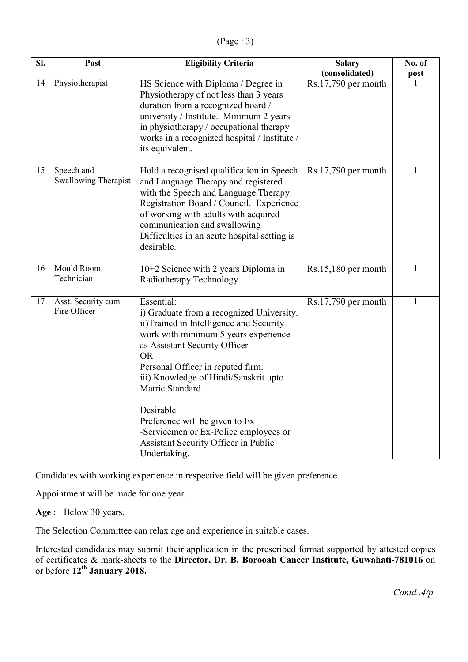(Page : 3)

| Sl. | Post                                      | <b>Eligibility Criteria</b>                                                                                                                                                                                                                                                                                                                                                                                                                | <b>Salary</b><br>(consolidated) | No. of       |
|-----|-------------------------------------------|--------------------------------------------------------------------------------------------------------------------------------------------------------------------------------------------------------------------------------------------------------------------------------------------------------------------------------------------------------------------------------------------------------------------------------------------|---------------------------------|--------------|
| 14  | Physiotherapist                           | HS Science with Diploma / Degree in<br>Physiotherapy of not less than 3 years<br>duration from a recognized board /<br>university / Institute. Minimum 2 years<br>in physiotherapy / occupational therapy<br>works in a recognized hospital / Institute /<br>its equivalent.                                                                                                                                                               | $Rs.17,790$ per month           | post<br>1    |
| 15  | Speech and<br><b>Swallowing Therapist</b> | Hold a recognised qualification in Speech<br>and Language Therapy and registered<br>with the Speech and Language Therapy<br>Registration Board / Council. Experience<br>of working with adults with acquired<br>communication and swallowing<br>Difficulties in an acute hospital setting is<br>desirable.                                                                                                                                 | Rs.17,790 per month             | $\mathbf{1}$ |
| 16  | Mould Room<br>Technician                  | 10+2 Science with 2 years Diploma in<br>Radiotherapy Technology.                                                                                                                                                                                                                                                                                                                                                                           | $Rs.15,180$ per month           | $\mathbf{1}$ |
| 17  | Asst. Security cum<br>Fire Officer        | Essential:<br>i) Graduate from a recognized University.<br>ii)Trained in Intelligence and Security<br>work with minimum 5 years experience<br>as Assistant Security Officer<br><b>OR</b><br>Personal Officer in reputed firm.<br>iii) Knowledge of Hindi/Sanskrit upto<br>Matric Standard.<br>Desirable<br>Preference will be given to Ex<br>-Servicemen or Ex-Police employees or<br>Assistant Security Officer in Public<br>Undertaking. | $Rs.17,790$ per month           | 1            |

Candidates with working experience in respective field will be given preference.

Appointment will be made for one year.

**Age** :Below 30 years.

The Selection Committee can relax age and experience in suitable cases.

Interested candidates may submit their application in the prescribed format supported by attested copies of certificates & mark-sheets to the **Director, Dr. B. Borooah Cancer Institute, Guwahati-781016** on or before **12th January 2018.**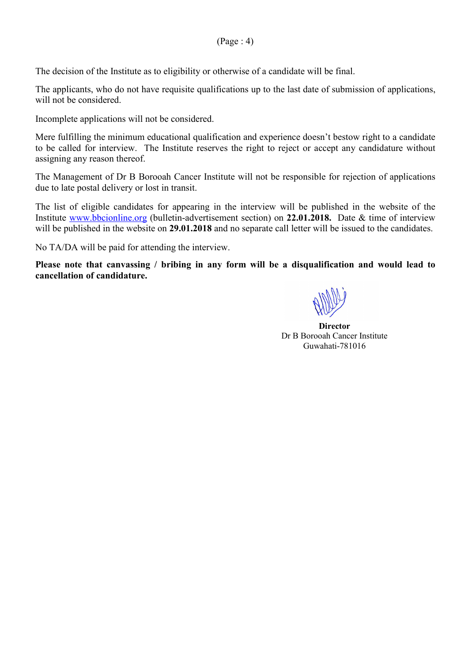The decision of the Institute as to eligibility or otherwise of a candidate will be final.

The applicants, who do not have requisite qualifications up to the last date of submission of applications, will not be considered.

Incomplete applications will not be considered.

Mere fulfilling the minimum educational qualification and experience doesn't bestow right to a candidate to be called for interview. The Institute reserves the right to reject or accept any candidature without assigning any reason thereof.

The Management of Dr B Borooah Cancer Institute will not be responsible for rejection of applications due to late postal delivery or lost in transit.

The list of eligible candidates for appearing in the interview will be published in the website of the Institute www.bbcionline.org (bulletin-advertisement section) on **22.01.2018.** Date & time of interview will be published in the website on **29.01.2018** and no separate call letter will be issued to the candidates.

No TA/DA will be paid for attending the interview.

**Please note that canvassing / bribing in any form will be a disqualification and would lead to cancellation of candidature.** 

**Director**  Dr B Borooah Cancer Institute Guwahati-781016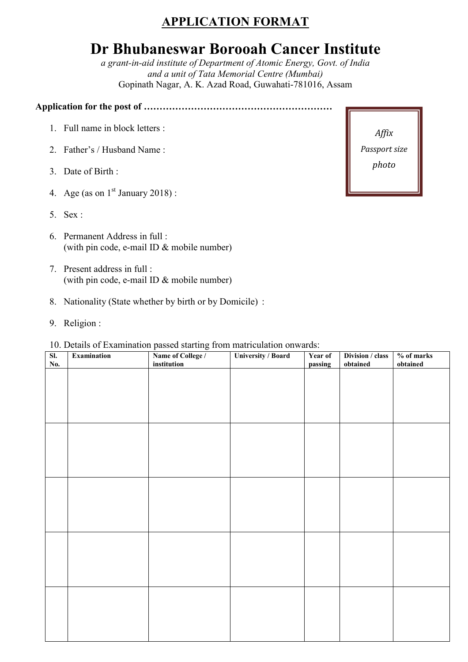# **APPLICATION FORMAT**

# **Dr Bhubaneswar Borooah Cancer Institute**

*a grant-in-aid institute of Department of Atomic Energy, Govt. of India and a unit of Tata Memorial Centre (Mumbai)*  Gopinath Nagar, A. K. Azad Road, Guwahati-781016, Assam

**Application for the post of ……………………………………………………** 

- 1. Full name in block letters :
- 2. Father's / Husband Name :
- 3. Date of Birth :
- 4. Age (as on  $1<sup>st</sup>$  January 2018) :
- 5. Sex :
- 6. Permanent Address in full : (with pin code, e-mail ID & mobile number)
- 7. Present address in full : (with pin code, e-mail ID & mobile number)
- 8. Nationality (State whether by birth or by Domicile) :
- 9. Religion :

#### 10. Details of Examination passed starting from matriculation onwards:

| SI.<br>No. | Examination | $\mathbf{r}$<br>$\sim$<br>Name of College /<br>institution | <b>University / Board</b> | Year of<br>passing | Division / class<br>obtained | $%$ of marks<br>obtained |
|------------|-------------|------------------------------------------------------------|---------------------------|--------------------|------------------------------|--------------------------|
|            |             |                                                            |                           |                    |                              |                          |
|            |             |                                                            |                           |                    |                              |                          |
|            |             |                                                            |                           |                    |                              |                          |
|            |             |                                                            |                           |                    |                              |                          |
|            |             |                                                            |                           |                    |                              |                          |
|            |             |                                                            |                           |                    |                              |                          |
|            |             |                                                            |                           |                    |                              |                          |
|            |             |                                                            |                           |                    |                              |                          |
|            |             |                                                            |                           |                    |                              |                          |
|            |             |                                                            |                           |                    |                              |                          |
|            |             |                                                            |                           |                    |                              |                          |
|            |             |                                                            |                           |                    |                              |                          |
|            |             |                                                            |                           |                    |                              |                          |
|            |             |                                                            |                           |                    |                              |                          |
|            |             |                                                            |                           |                    |                              |                          |

*Affix Passport size photo*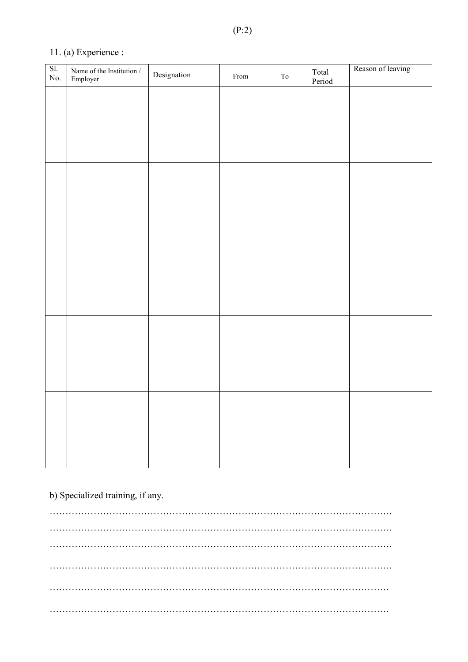## 11. (a) Experience :

| SI.<br>$\rm No.$ | Name of the Institution $\overline{\phantom{a}}$<br>Employer | Designation | From | ${\rm To}$ | Total<br>Period | Reason of leaving |
|------------------|--------------------------------------------------------------|-------------|------|------------|-----------------|-------------------|
|                  |                                                              |             |      |            |                 |                   |
|                  |                                                              |             |      |            |                 |                   |
|                  |                                                              |             |      |            |                 |                   |
|                  |                                                              |             |      |            |                 |                   |
|                  |                                                              |             |      |            |                 |                   |
|                  |                                                              |             |      |            |                 |                   |
|                  |                                                              |             |      |            |                 |                   |
|                  |                                                              |             |      |            |                 |                   |
|                  |                                                              |             |      |            |                 |                   |
|                  |                                                              |             |      |            |                 |                   |
|                  |                                                              |             |      |            |                 |                   |
|                  |                                                              |             |      |            |                 |                   |
|                  |                                                              |             |      |            |                 |                   |
|                  |                                                              |             |      |            |                 |                   |
|                  |                                                              |             |      |            |                 |                   |
|                  |                                                              |             |      |            |                 |                   |
|                  |                                                              |             |      |            |                 |                   |
|                  |                                                              |             |      |            |                 |                   |

### b) Specialized training, if any.

………………………………………………………………………………………………. ………………………………………………………………………………………………. ………………………………………………………………………………………………. ………………………………………………………………………………………………. ……………………………………………………………………………………………… ………………………………………………………………………………………………